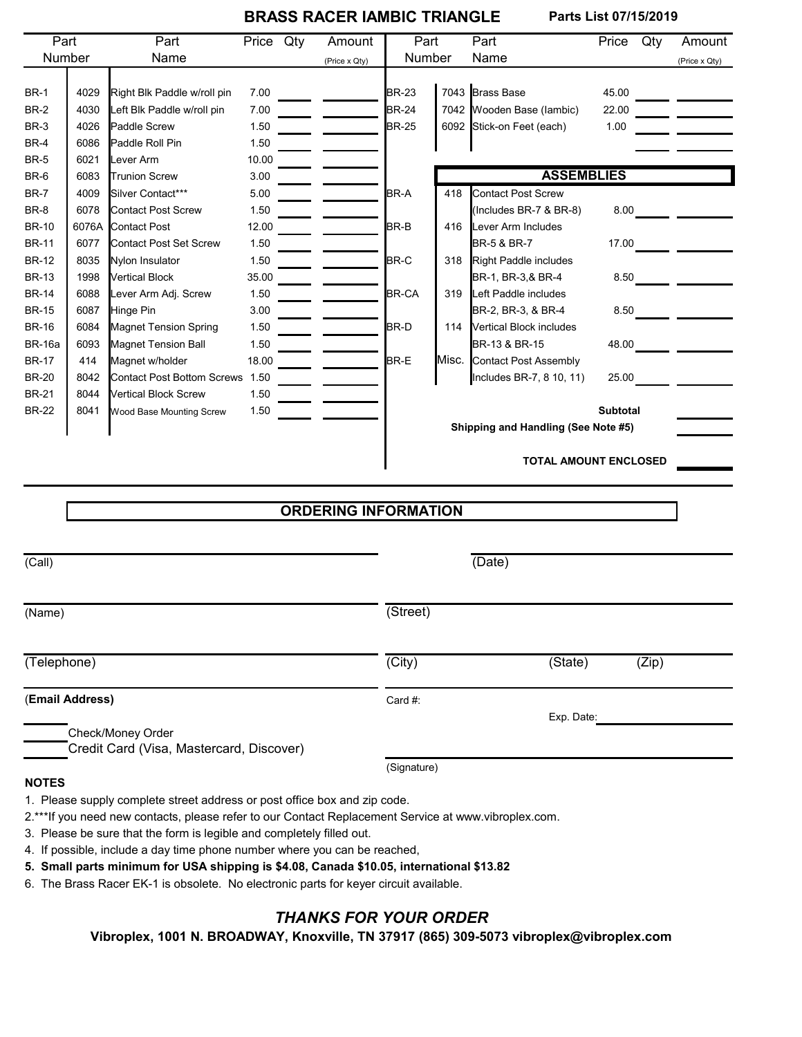## **BRASS RACER IAMBIC TRIANGLE Parts List 07/15/2019**

| Part                                     |       | Part                              | Price Qty |        | Amount                      | Part                                |       | Part                      | Price           | Qty | Amount                                    |
|------------------------------------------|-------|-----------------------------------|-----------|--------|-----------------------------|-------------------------------------|-------|---------------------------|-----------------|-----|-------------------------------------------|
| Number                                   |       | Name                              |           |        | (Price x Qty)               | Number                              |       | Name                      |                 |     | (Price x Qty)                             |
|                                          |       |                                   |           |        |                             |                                     |       |                           |                 |     |                                           |
| <b>BR-1</b>                              | 4029  | Right Blk Paddle w/roll pin       | 7.00      |        |                             | <b>BR-23</b>                        |       | 7043 Brass Base           | 45.00           |     |                                           |
| <b>BR-2</b>                              | 4030  | Left Blk Paddle w/roll pin        | 7.00      |        |                             | <b>BR-24</b>                        |       | 7042 Wooden Base (lambic) | 22.00           |     | <u>and a state</u>                        |
| <b>BR-3</b>                              | 4026  | Paddle Screw                      | 1.50      |        |                             | <b>BR-25</b>                        |       | 6092 Stick-on Feet (each) | 1.00            |     |                                           |
| <b>BR-4</b>                              | 6086  | Paddle Roll Pin                   | 1.50      |        |                             |                                     |       |                           |                 |     |                                           |
| <b>BR-5</b>                              | 6021  | Lever Arm                         | 10.00     |        |                             |                                     |       |                           |                 |     |                                           |
| BR-6                                     | 6083  | <b>Trunion Screw</b>              | 3.00      |        |                             |                                     |       | <b>ASSEMBLIES</b>         |                 |     |                                           |
| <b>BR-7</b>                              | 4009  | Silver Contact***                 | 5.00      |        |                             | BR-A                                | 418   | Contact Post Screw        |                 |     |                                           |
| BR-8                                     | 6078  | Contact Post Screw                | 1.50      |        |                             |                                     |       | (Includes BR-7 & BR-8)    | 8.00            |     | <u> Tarihin a</u>                         |
| <b>BR-10</b>                             | 6076A | <b>Contact Post</b>               | 12.00     |        |                             | BR-B                                | 416   | Lever Arm Includes        |                 |     |                                           |
| <b>BR-11</b>                             | 6077  | Contact Post Set Screw            | 1.50      |        |                             |                                     |       | <b>BR-5 &amp; BR-7</b>    |                 |     |                                           |
| <b>BR-12</b>                             | 8035  | Nylon Insulator                   | 1.50      |        |                             | BR-C                                | 318   | Right Paddle includes     |                 |     |                                           |
| <b>BR-13</b>                             | 1998  | Vertical Block                    | 35.00     |        |                             |                                     |       | BR-1, BR-3,& BR-4         |                 |     |                                           |
| <b>BR-14</b>                             | 6088  | Lever Arm Adj. Screw              | 1.50      |        |                             | <b>BR-CA</b>                        | 319   | Left Paddle includes      |                 |     |                                           |
| <b>BR-15</b>                             | 6087  | Hinge Pin                         | 3.00      |        |                             |                                     |       | BR-2, BR-3, & BR-4        |                 |     |                                           |
| <b>BR-16</b>                             | 6084  | Magnet Tension Spring             | 1.50      |        |                             | BR-D                                | 114   | Vertical Block includes   |                 |     |                                           |
| <b>BR-16a</b>                            | 6093  | Magnet Tension Ball               | 1.50      |        |                             |                                     |       | BR-13 & BR-15             | 48.00           |     |                                           |
| <b>BR-17</b>                             | 414   | Magnet w/holder                   | 18.00     |        |                             | BR-E                                | Misc. | Contact Post Assembly     |                 |     |                                           |
| <b>BR-20</b>                             | 8042  | <b>Contact Post Bottom Screws</b> | 1.50      |        |                             |                                     |       | Includes BR-7, 8 10, 11)  | 25.00           |     | $\mathcal{L}^{\text{max}}_{\text{max}}$ . |
| <b>BR-21</b>                             | 8044  | Vertical Block Screw              | 1.50      |        |                             |                                     |       |                           |                 |     |                                           |
| <b>BR-22</b>                             | 8041  | Wood Base Mounting Screw          | 1.50      |        |                             |                                     |       |                           | <b>Subtotal</b> |     |                                           |
|                                          |       |                                   |           |        |                             | Shipping and Handling (See Note #5) |       |                           |                 |     |                                           |
|                                          |       |                                   |           |        |                             | <b>TOTAL AMOUNT ENCLOSED</b>        |       |                           |                 |     |                                           |
|                                          |       |                                   |           |        |                             |                                     |       |                           |                 |     |                                           |
|                                          |       |                                   |           |        |                             |                                     |       |                           |                 |     |                                           |
|                                          |       |                                   |           |        | <b>ORDERING INFORMATION</b> |                                     |       |                           |                 |     |                                           |
|                                          |       |                                   |           |        |                             |                                     |       |                           |                 |     |                                           |
| (Call)                                   |       |                                   |           |        |                             |                                     |       | (Date)                    |                 |     |                                           |
|                                          |       |                                   |           |        |                             |                                     |       |                           |                 |     |                                           |
| (Name)                                   |       |                                   |           |        | (Street)                    |                                     |       |                           |                 |     |                                           |
|                                          |       |                                   |           |        |                             |                                     |       |                           |                 |     |                                           |
| (Telephone)                              |       |                                   |           | (City) |                             | (State)                             |       | (Zip)                     |                 |     |                                           |
|                                          |       |                                   |           |        |                             |                                     |       |                           |                 |     |                                           |
| (Email Address)                          |       |                                   |           |        |                             | Card #:                             |       | Exp. Date:                |                 |     |                                           |
|                                          |       | Check/Money Order                 |           |        |                             |                                     |       |                           |                 |     |                                           |
| Credit Card (Visa, Mastercard, Discover) |       |                                   |           |        |                             | (Signature)                         |       |                           |                 |     |                                           |
| <b>NOTES</b>                             |       |                                   |           |        |                             |                                     |       |                           |                 |     |                                           |
|                                          |       |                                   |           |        |                             |                                     |       |                           |                 |     |                                           |

1. Please supply complete street address or post office box and zip code.

2.\*\*\*If you need new contacts, please refer to our Contact Replacement Service at www.vibroplex.com.

3. Please be sure that the form is legible and completely filled out.

4. If possible, include a day time phone number where you can be reached,

**5. Small parts minimum for USA shipping is \$4.08, Canada \$10.05, international \$13.82**

6. The Brass Racer EK-1 is obsolete. No electronic parts for keyer circuit available.

## *THANKS FOR YOUR ORDER*

**Vibroplex, 1001 N. BROADWAY, Knoxville, TN 37917 (865) 309-5073 vibroplex@vibroplex.com**